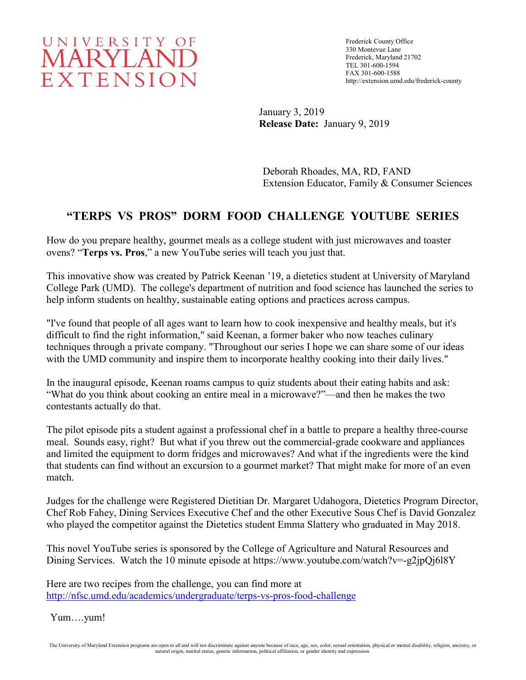# UNIVERSITY OF MARYLAND EXTENSION

Frederick County Office 330 Montevue Lane Frederick, Maryland 21702 TEL 301-600-1594 FAX 301-600-1588 http://extension.umd.edu/frederick-county

January 3, 2019 **Release Date:** January 9, 2019

Deborah Rhoades, MA, RD, FAND Extension Educator, Family & Consumer Sciences

## **"TERPS VS PROS" DORM FOOD CHALLENGE YOUTUBE SERIES**

How do you prepare healthy, gourmet meals as a college student with just microwaves and toaster ovens? "**Terps vs. Pros**," a new YouTube series will teach you just that.

This innovative show was created by Patrick Keenan '19, a dietetics student at University of Maryland College Park (UMD). The college's department of nutrition and food science has launched the series to help inform students on healthy, sustainable eating options and practices across campus.

"I've found that people of all ages want to learn how to cook inexpensive and healthy meals, but it's difficult to find the right information," said Keenan, a former baker who now teaches culinary techniques through a private company. "Throughout our series I hope we can share some of our ideas with the UMD community and inspire them to incorporate healthy cooking into their daily lives."

In the inaugural episode, Keenan roams campus to quiz students about their eating habits and ask: "What do you think about cooking an entire meal in a microwave?"—and then he makes the two contestants actually do that.

The pilot episode pits a student against a professional chef in a battle to prepare a healthy three-course meal. Sounds easy, right? But what if you threw out the commercial-grade cookware and appliances and limited the equipment to dorm fridges and microwaves? And what if the ingredients were the kind that students can find without an excursion to a gourmet market? That might make for more of an even match.

Judges for the challenge were Registered Dietitian Dr. Margaret Udahogora, Dietetics Program Director, Chef Rob Fahey, Dining Services Executive Chef and the other Executive Sous Chef is David Gonzalez who played the competitor against the Dietetics student Emma Slattery who graduated in May 2018.

This novel YouTube series is sponsored by the College of Agriculture and Natural Resources and Dining Services. Watch the 10 minute episode at https://www.youtube.com/watch?v=-g2jpQj6l8Y

Here are two recipes from the challenge, you can find more at <http://nfsc.umd.edu/academics/undergraduate/terps-vs-pros-food-challenge>

Yum….yum!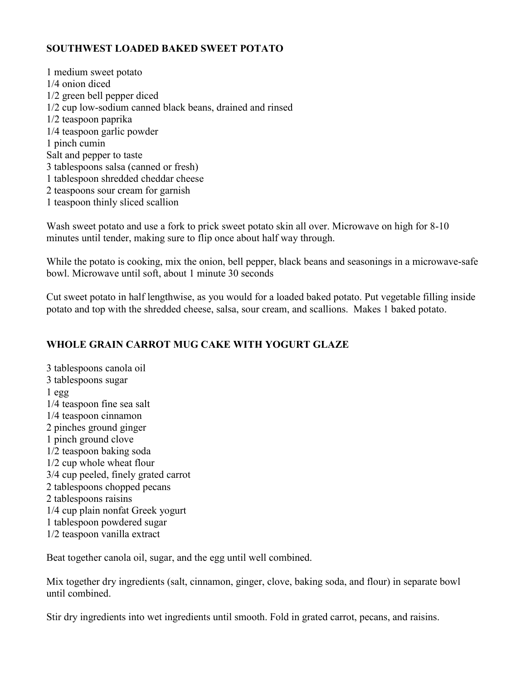#### **SOUTHWEST LOADED BAKED SWEET POTATO**

1 medium sweet potato 1/4 onion diced 1/2 green bell pepper diced 1/2 cup low-sodium canned black beans, drained and rinsed 1/2 teaspoon paprika 1/4 teaspoon garlic powder 1 pinch cumin Salt and pepper to taste 3 tablespoons salsa (canned or fresh) 1 tablespoon shredded cheddar cheese 2 teaspoons sour cream for garnish 1 teaspoon thinly sliced scallion

Wash sweet potato and use a fork to prick sweet potato skin all over. Microwave on high for 8-10 minutes until tender, making sure to flip once about half way through.

While the potato is cooking, mix the onion, bell pepper, black beans and seasonings in a microwave-safe bowl. Microwave until soft, about 1 minute 30 seconds

Cut sweet potato in half lengthwise, as you would for a loaded baked potato. Put vegetable filling inside potato and top with the shredded cheese, salsa, sour cream, and scallions. Makes 1 baked potato.

#### **WHOLE GRAIN CARROT MUG CAKE WITH YOGURT GLAZE**

3 tablespoons canola oil 3 tablespoons sugar 1 egg 1/4 teaspoon fine sea salt 1/4 teaspoon cinnamon 2 pinches ground ginger 1 pinch ground clove 1/2 teaspoon baking soda 1/2 cup whole wheat flour 3/4 cup peeled, finely grated carrot 2 tablespoons chopped pecans 2 tablespoons raisins 1/4 cup plain nonfat Greek yogurt 1 tablespoon powdered sugar 1/2 teaspoon vanilla extract

Beat together canola oil, sugar, and the egg until well combined.

Mix together dry ingredients (salt, cinnamon, ginger, clove, baking soda, and flour) in separate bowl until combined.

Stir dry ingredients into wet ingredients until smooth. Fold in grated carrot, pecans, and raisins.